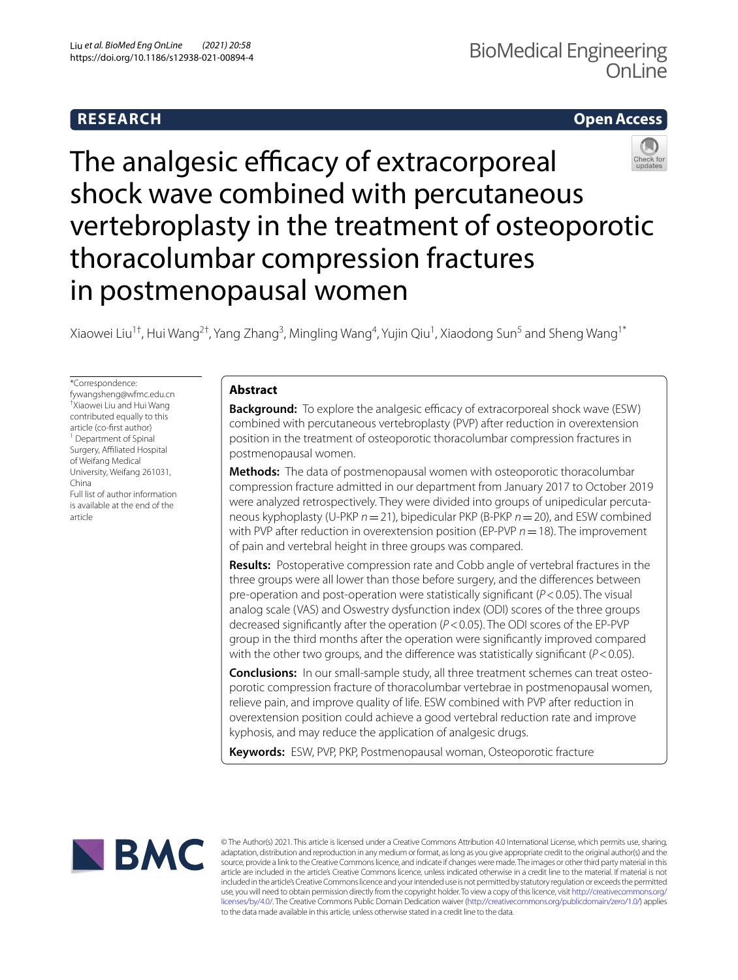# **RESEARCH**

# **Open Access**



Xiaowei Liu<sup>1†</sup>, Hui Wang<sup>2†</sup>, Yang Zhang<sup>3</sup>, Mingling Wang<sup>4</sup>, Yujin Qiu<sup>1</sup>, Xiaodong Sun<sup>5</sup> and Sheng Wang<sup>1\*</sup>

\*Correspondence: fywangsheng@wfmc.edu.cn † Xiaowei Liu and Hui Wang contributed equally to this article (co-frst author) <sup>1</sup> Department of Spinal Surgery, Affiliated Hospital of Weifang Medical University, Weifang 261031, China Full list of author information is available at the end of the article

# **Abstract**

**Background:** To explore the analgesic efficacy of extracorporeal shock wave (ESW) combined with percutaneous vertebroplasty (PVP) after reduction in overextension position in the treatment of osteoporotic thoracolumbar compression fractures in postmenopausal women.

**Methods:** The data of postmenopausal women with osteoporotic thoracolumbar compression fracture admitted in our department from January 2017 to October 2019 were analyzed retrospectively. They were divided into groups of unipedicular percutaneous kyphoplasty (U-PKP *n*=21), bipedicular PKP (B-PKP *n*=20), and ESW combined with PVP after reduction in overextension position (EP-PVP *n*=18). The improvement of pain and vertebral height in three groups was compared.

**Results:** Postoperative compression rate and Cobb angle of vertebral fractures in the three groups were all lower than those before surgery, and the diferences between pre-operation and post-operation were statistically signifcant (*P*<0.05). The visual analog scale (VAS) and Oswestry dysfunction index (ODI) scores of the three groups decreased signifcantly after the operation (*P*<0.05). The ODI scores of the EP-PVP group in the third months after the operation were signifcantly improved compared with the other two groups, and the diference was statistically signifcant (*P*<0.05).

**Conclusions:** In our small-sample study, all three treatment schemes can treat osteoporotic compression fracture of thoracolumbar vertebrae in postmenopausal women, relieve pain, and improve quality of life. ESW combined with PVP after reduction in overextension position could achieve a good vertebral reduction rate and improve kyphosis, and may reduce the application of analgesic drugs.

**Keywords:** ESW, PVP, PKP, Postmenopausal woman, Osteoporotic fracture



© The Author(s) 2021. This article is licensed under a Creative Commons Attribution 4.0 International License, which permits use, sharing, adaptation, distribution and reproduction in any medium or format, as long as you give appropriate credit to the original author(s) and the source, provide a link to the Creative Commons licence, and indicate if changes were made. The images or other third party material in this article are included in the article's Creative Commons licence, unless indicated otherwise in a credit line to the material. If material is not included in the article's Creative Commons licence and your intended use is not permitted by statutory regulation or exceeds the permitted use, you will need to obtain permission directly from the copyright holder. To view a copy of this licence, visit [http://creativecommons.org/](http://creativecommons.org/licenses/by/4.0/) [licenses/by/4.0/.](http://creativecommons.org/licenses/by/4.0/) The Creative Commons Public Domain Dedication waiver [\(http://creativecommons.org/publicdomain/zero/1.0/\)](http://creativecommons.org/publicdomain/zero/1.0/) applies to the data made available in this article, unless otherwise stated in a credit line to the data.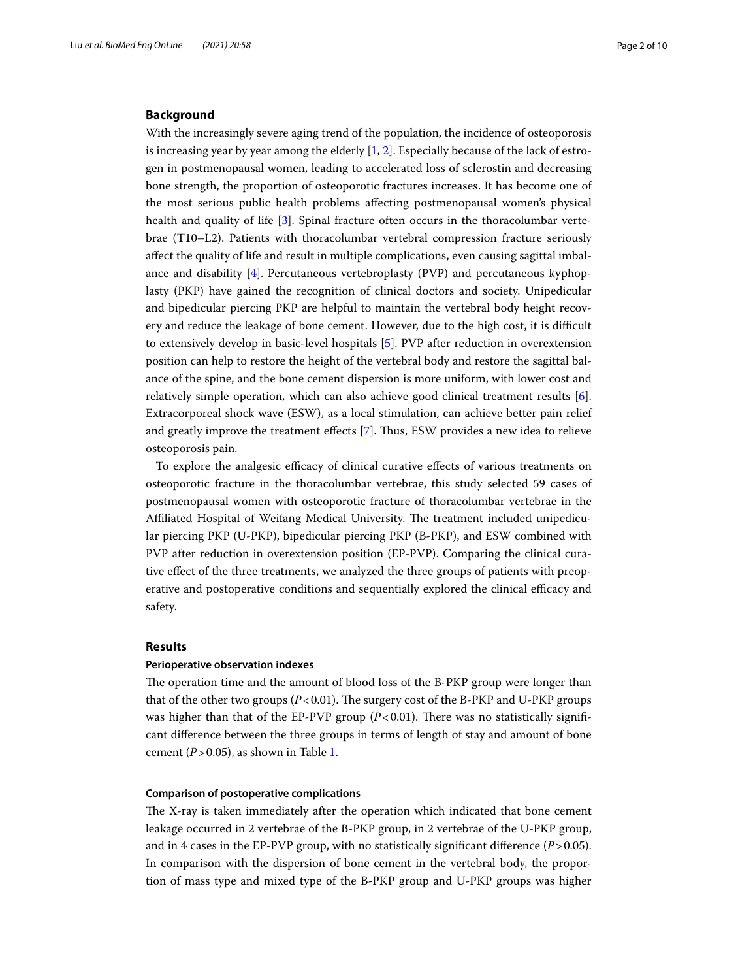# **Background**

With the increasingly severe aging trend of the population, the incidence of osteoporosis is increasing year by year among the elderly  $[1, 2]$  $[1, 2]$  $[1, 2]$ . Especially because of the lack of estrogen in postmenopausal women, leading to accelerated loss of sclerostin and decreasing bone strength, the proportion of osteoporotic fractures increases. It has become one of the most serious public health problems afecting postmenopausal women's physical health and quality of life [\[3](#page-8-2)]. Spinal fracture often occurs in the thoracolumbar vertebrae (T10–L2). Patients with thoracolumbar vertebral compression fracture seriously afect the quality of life and result in multiple complications, even causing sagittal imbalance and disability  $[4]$  $[4]$ . Percutaneous vertebroplasty (PVP) and percutaneous kyphoplasty (PKP) have gained the recognition of clinical doctors and society. Unipedicular and bipedicular piercing PKP are helpful to maintain the vertebral body height recovery and reduce the leakage of bone cement. However, due to the high cost, it is difcult to extensively develop in basic-level hospitals [[5](#page-8-4)]. PVP after reduction in overextension position can help to restore the height of the vertebral body and restore the sagittal balance of the spine, and the bone cement dispersion is more uniform, with lower cost and relatively simple operation, which can also achieve good clinical treatment results [\[6](#page-8-5)]. Extracorporeal shock wave (ESW), as a local stimulation, can achieve better pain relief and greatly improve the treatment efects [[7\]](#page-8-6). Tus, ESW provides a new idea to relieve osteoporosis pain.

To explore the analgesic efficacy of clinical curative effects of various treatments on osteoporotic fracture in the thoracolumbar vertebrae, this study selected 59 cases of postmenopausal women with osteoporotic fracture of thoracolumbar vertebrae in the Affiliated Hospital of Weifang Medical University. The treatment included unipedicular piercing PKP (U-PKP), bipedicular piercing PKP (B-PKP), and ESW combined with PVP after reduction in overextension position (EP-PVP). Comparing the clinical curative efect of the three treatments, we analyzed the three groups of patients with preoperative and postoperative conditions and sequentially explored the clinical efficacy and safety.

### **Results**

### **Perioperative observation indexes**

The operation time and the amount of blood loss of the B-PKP group were longer than that of the other two groups  $(P<0.01)$ . The surgery cost of the B-PKP and U-PKP groups was higher than that of the EP-PVP group  $(P<0.01)$ . There was no statistically significant diference between the three groups in terms of length of stay and amount of bone cement  $(P > 0.05)$ , as shown in Table [1.](#page-2-0)

# **Comparison of postoperative complications**

The X-ray is taken immediately after the operation which indicated that bone cement leakage occurred in 2 vertebrae of the B-PKP group, in 2 vertebrae of the U-PKP group, and in 4 cases in the EP-PVP group, with no statistically significant difference  $(P > 0.05)$ . In comparison with the dispersion of bone cement in the vertebral body, the proportion of mass type and mixed type of the B-PKP group and U-PKP groups was higher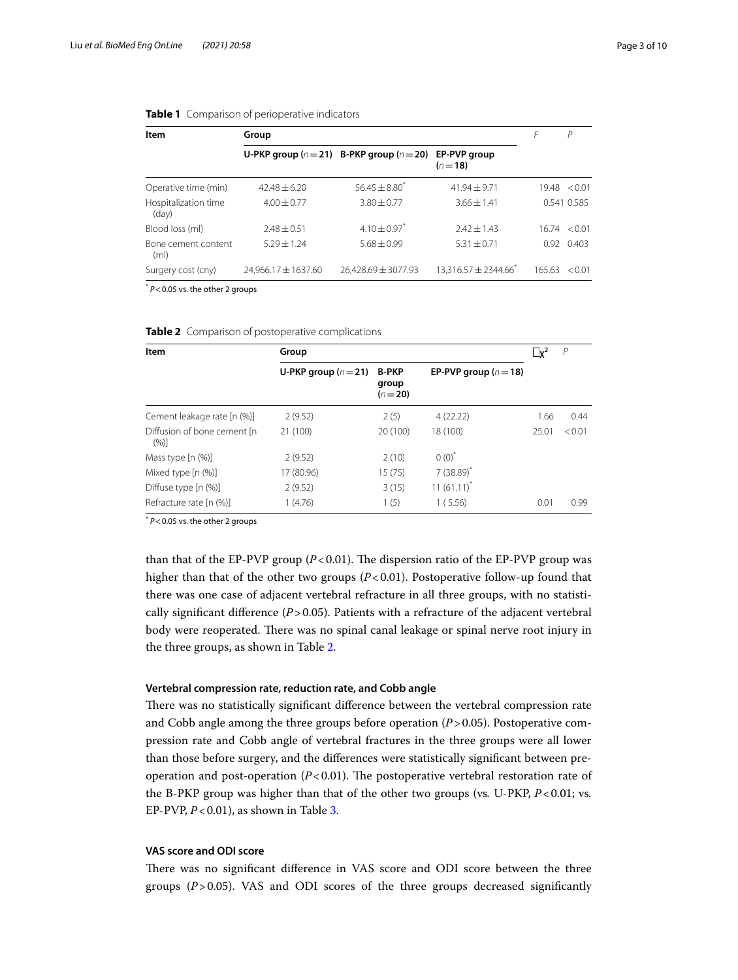| Item                                     | Group               |                                                   |                                      |              | Р            |
|------------------------------------------|---------------------|---------------------------------------------------|--------------------------------------|--------------|--------------|
|                                          |                     | U-PKP group ( $n = 21$ ) B-PKP group ( $n = 20$ ) | EP-PVP group<br>$(n=18)$             |              |              |
| Operative time (min)                     | $42.48 + 6.20$      | $56.45 \pm 8.80^*$                                | $41.94 + 9.71$                       |              | 19.48 < 0.01 |
| Hospitalization time<br>(day)            | $4.00 + 0.77$       | $3.80 + 0.77$                                     | $3.66 \pm 1.41$                      |              | 0.541 0.585  |
| Blood loss (ml)                          | $7.48 + 0.51$       | $4.10 \pm 0.97$ <sup>*</sup>                      | $7.47 + 1.43$                        | 16.74 < 0.01 |              |
| Bone cement content<br>(m <sub>l</sub> ) | $5.29 + 1.24$       | $5.68 + 0.99$                                     | $5.31 + 0.71$                        | 0.92         | 0.403        |
| Surgery cost (cny)                       | 24,966.17 ± 1637.60 | $26,428.69 \pm 3077.93$                           | $13,316.57 \pm 2344.66$ <sup>*</sup> | 165.63       | < 0.01       |

### <span id="page-2-0"></span>**Table 1** Comparison of perioperative indicators

\* *P*<0.05 vs. the other 2 groups

| Item                                 | Group                |                                   |                           | $\mathbf{R}^2$ | $\overline{P}$ |  |
|--------------------------------------|----------------------|-----------------------------------|---------------------------|----------------|----------------|--|
|                                      | U-PKP group $(n=21)$ | <b>B-PKP</b><br>group<br>$(n=20)$ | EP-PVP group ( $n = 18$ ) |                |                |  |
| Cement leakage rate [n (%)]          | 2(9.52)              | 2(5)                              | 4(22.22)                  | 1.66           | 0.44           |  |
| Diffusion of bone cement [n]<br>(%)] | 21 (100)             | 20 (100)                          | 18 (100)                  | 25.01          | < 0.01         |  |
| Mass type [n (%)]                    | 2(9.52)              | 2(10)                             | $0(0)^{*}$                |                |                |  |
| Mixed type [n (%)]                   | 17 (80.96)           | 15(75)                            | $7(38.89)$ <sup>*</sup>   |                |                |  |
| Diffuse type [n (%)]                 | 2(9.52)              | 3(15)                             | $11(61.11)^{*}$           |                |                |  |
| Refracture rate [n (%)]              | 1(4.76)              | 1(5)                              | 1(5.56)                   | 0.01           | 0.99           |  |

<span id="page-2-1"></span>

|  |  | <b>Table 2</b> Comparison of postoperative complications |  |
|--|--|----------------------------------------------------------|--|
|--|--|----------------------------------------------------------|--|

\* *P*<0.05 vs. the other 2 groups

than that of the EP-PVP group  $(P<0.01)$ . The dispersion ratio of the EP-PVP group was higher than that of the other two groups  $(P<0.01)$ . Postoperative follow-up found that there was one case of adjacent vertebral refracture in all three groups, with no statistically signifcant diference (*P*>0.05). Patients with a refracture of the adjacent vertebral body were reoperated. There was no spinal canal leakage or spinal nerve root injury in the three groups, as shown in Table [2](#page-2-1).

### **Vertebral compression rate, reduction rate, and Cobb angle**

There was no statistically significant difference between the vertebral compression rate and Cobb angle among the three groups before operation (*P*>0.05). Postoperative compression rate and Cobb angle of vertebral fractures in the three groups were all lower than those before surgery, and the diferences were statistically signifcant between preoperation and post-operation  $(P<0.01)$ . The postoperative vertebral restoration rate of the B-PKP group was higher than that of the other two groups (vs*.* U-PKP, *P*<0.01; vs*.* EP-PVP, *P*<0.01), as shown in Table [3](#page-3-0).

# **VAS score and ODI score**

There was no significant difference in VAS score and ODI score between the three groups (*P*>0.05). VAS and ODI scores of the three groups decreased signifcantly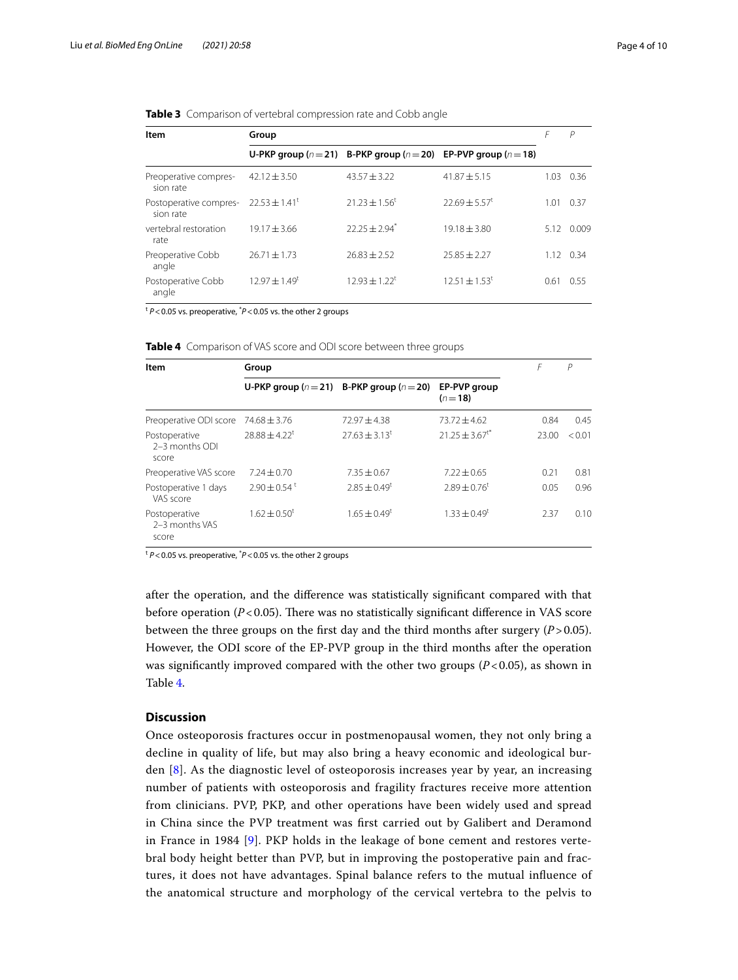| Item                                | Group              |                               |                                                                             |      | P                 |
|-------------------------------------|--------------------|-------------------------------|-----------------------------------------------------------------------------|------|-------------------|
|                                     |                    |                               | U-PKP group ( $n = 21$ ) B-PKP group ( $n = 20$ ) EP-PVP group ( $n = 18$ ) |      |                   |
| Preoperative compres-<br>sion rate  | $42.12 \pm 3.50$   | $43.57 \pm 3.22$              | $41.87 + 5.15$                                                              | 1.03 | 0.36              |
| Postoperative compres-<br>sion rate | $22.53 \pm 1.41^t$ | $21.23 \pm 1.56^t$            | $22.69 + 5.57$ <sup>t</sup>                                                 | 1.01 | 0.37              |
| vertebral restoration<br>rate       | $19.17 + 3.66$     | $22.25 + 2.94$ <sup>*</sup>   | $19.18 \pm 3.80$                                                            | 5.12 | 0.009             |
| Preoperative Cobb<br>angle          | $26.71 \pm 1.73$   | $76.83 + 2.52$                | $25.85 + 2.27$                                                              |      | $1.12 \quad 0.34$ |
| Postoperative Cobb<br>angle         | $12.97 + 1.49^t$   | $12.93 \pm 1.22$ <sup>t</sup> | $12.51 \pm 1.53^t$                                                          | 0.61 | 0.55              |

<span id="page-3-0"></span>**Table 3** Comparison of vertebral compression rate and Cobb angle

<sup>t</sup> *P*<0.05 vs. preoperative, \* *P*<0.05 vs. the other 2 groups

<span id="page-3-1"></span>

| Table 4 Comparison of VAS score and ODI score between three groups |  |  |  |
|--------------------------------------------------------------------|--|--|--|
|                                                                    |  |  |  |

| Item                                     | Group                        |                                                   |                                | F     | P      |
|------------------------------------------|------------------------------|---------------------------------------------------|--------------------------------|-------|--------|
|                                          |                              | U-PKP group ( $n = 21$ ) B-PKP group ( $n = 20$ ) | EP-PVP group<br>$(n=18)$       |       |        |
| Preoperative ODI score                   | $74.68 \pm 3.76$             | $72.97 + 4.38$                                    | $73.72 + 4.62$                 | 0.84  | 0.45   |
| Postoperative<br>2-3 months ODI<br>score | $78.88 + 4.22^t$             | $77.63 + 3.13$ <sup>t</sup>                       | $21.25 \pm 3.67$ <sup>t*</sup> | 23.00 | < 0.01 |
| Preoperative VAS score                   | $7.24 + 0.70$                | $7.35 + 0.67$                                     | $7.22 \pm 0.65$                | 0.21  | 0.81   |
| Postoperative 1 days<br>VAS score        | $2.90 \pm 0.54$ <sup>t</sup> | $2.85 \pm 0.49^t$                                 | $2.89 + 0.76^t$                | 0.05  | 0.96   |
| Postoperative<br>2-3 months VAS<br>score | $1.62 \pm 0.50^t$            | $1.65 \pm 0.49^t$                                 | $1.33 + 0.49^t$                | 2.37  | 0.10   |

<sup>t</sup> P<0.05 vs. preoperative, <sup>\*</sup>P<0.05 vs. the other 2 groups

after the operation, and the diference was statistically signifcant compared with that before operation  $(P<0.05)$ . There was no statistically significant difference in VAS score between the three groups on the first day and the third months after surgery  $(P > 0.05)$ . However, the ODI score of the EP-PVP group in the third months after the operation was significantly improved compared with the other two groups  $(P<0.05)$ , as shown in Table [4](#page-3-1).

# **Discussion**

Once osteoporosis fractures occur in postmenopausal women, they not only bring a decline in quality of life, but may also bring a heavy economic and ideological burden [[8\]](#page-8-7). As the diagnostic level of osteoporosis increases year by year, an increasing number of patients with osteoporosis and fragility fractures receive more attention from clinicians. PVP, PKP, and other operations have been widely used and spread in China since the PVP treatment was frst carried out by Galibert and Deramond in France in 1984 [\[9](#page-8-8)]. PKP holds in the leakage of bone cement and restores vertebral body height better than PVP, but in improving the postoperative pain and fractures, it does not have advantages. Spinal balance refers to the mutual infuence of the anatomical structure and morphology of the cervical vertebra to the pelvis to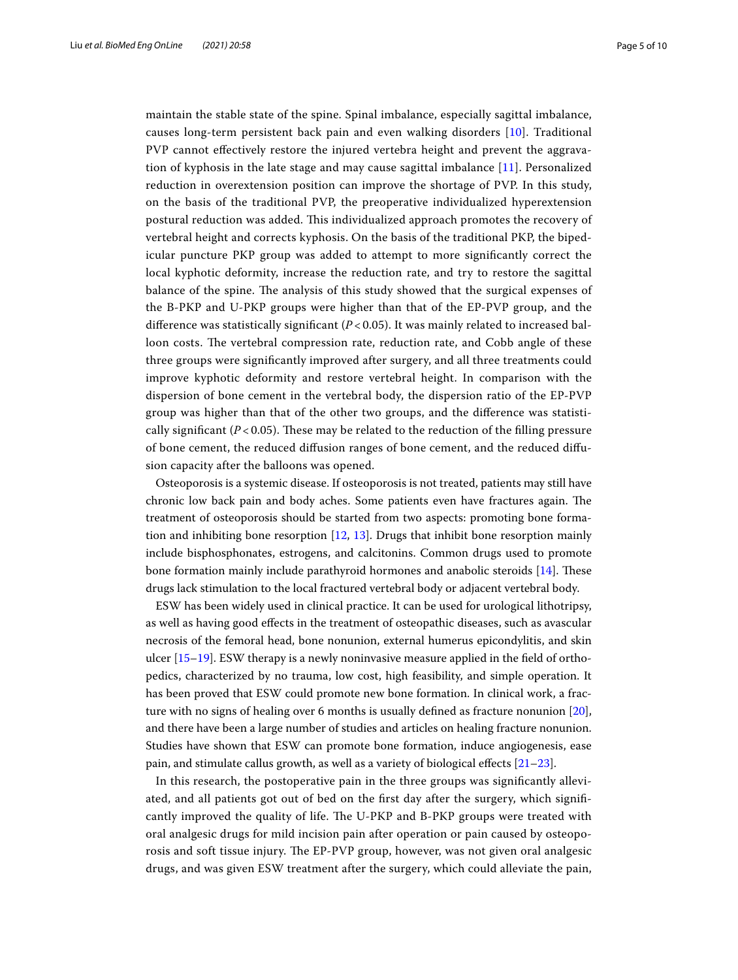maintain the stable state of the spine. Spinal imbalance, especially sagittal imbalance, causes long-term persistent back pain and even walking disorders [\[10](#page-8-9)]. Traditional PVP cannot efectively restore the injured vertebra height and prevent the aggravation of kyphosis in the late stage and may cause sagittal imbalance [\[11\]](#page-8-10). Personalized reduction in overextension position can improve the shortage of PVP. In this study, on the basis of the traditional PVP, the preoperative individualized hyperextension postural reduction was added. Tis individualized approach promotes the recovery of vertebral height and corrects kyphosis. On the basis of the traditional PKP, the bipedicular puncture PKP group was added to attempt to more signifcantly correct the local kyphotic deformity, increase the reduction rate, and try to restore the sagittal balance of the spine. The analysis of this study showed that the surgical expenses of the B-PKP and U-PKP groups were higher than that of the EP-PVP group, and the difference was statistically significant  $(P< 0.05)$ . It was mainly related to increased balloon costs. The vertebral compression rate, reduction rate, and Cobb angle of these three groups were signifcantly improved after surgery, and all three treatments could improve kyphotic deformity and restore vertebral height. In comparison with the dispersion of bone cement in the vertebral body, the dispersion ratio of the EP-PVP group was higher than that of the other two groups, and the diference was statistically significant  $(P< 0.05)$ . These may be related to the reduction of the filling pressure of bone cement, the reduced difusion ranges of bone cement, and the reduced difusion capacity after the balloons was opened.

Osteoporosis is a systemic disease. If osteoporosis is not treated, patients may still have chronic low back pain and body aches. Some patients even have fractures again. The treatment of osteoporosis should be started from two aspects: promoting bone formation and inhibiting bone resorption [\[12](#page-9-0), [13](#page-9-1)]. Drugs that inhibit bone resorption mainly include bisphosphonates, estrogens, and calcitonins. Common drugs used to promote bone formation mainly include parathyroid hormones and anabolic steroids  $[14]$  $[14]$ . These drugs lack stimulation to the local fractured vertebral body or adjacent vertebral body.

ESW has been widely used in clinical practice. It can be used for urological lithotripsy, as well as having good efects in the treatment of osteopathic diseases, such as avascular necrosis of the femoral head, bone nonunion, external humerus epicondylitis, and skin ulcer  $[15-19]$  $[15-19]$  $[15-19]$ . ESW therapy is a newly noninvasive measure applied in the field of orthopedics, characterized by no trauma, low cost, high feasibility, and simple operation. It has been proved that ESW could promote new bone formation. In clinical work, a fracture with no signs of healing over 6 months is usually defned as fracture nonunion [\[20](#page-9-5)], and there have been a large number of studies and articles on healing fracture nonunion. Studies have shown that ESW can promote bone formation, induce angiogenesis, ease pain, and stimulate callus growth, as well as a variety of biological efects [\[21](#page-9-6)[–23\]](#page-9-7).

In this research, the postoperative pain in the three groups was signifcantly alleviated, and all patients got out of bed on the frst day after the surgery, which signifcantly improved the quality of life. The U-PKP and B-PKP groups were treated with oral analgesic drugs for mild incision pain after operation or pain caused by osteoporosis and soft tissue injury. The EP-PVP group, however, was not given oral analgesic drugs, and was given ESW treatment after the surgery, which could alleviate the pain,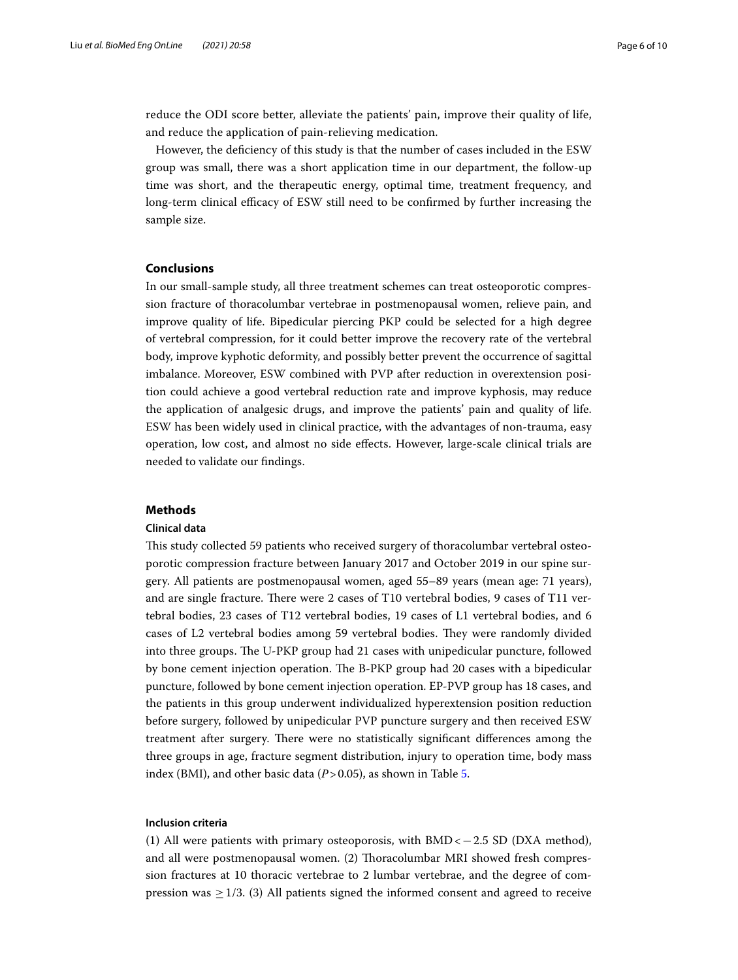reduce the ODI score better, alleviate the patients' pain, improve their quality of life, and reduce the application of pain-relieving medication.

However, the defciency of this study is that the number of cases included in the ESW group was small, there was a short application time in our department, the follow-up time was short, and the therapeutic energy, optimal time, treatment frequency, and long-term clinical efficacy of ESW still need to be confirmed by further increasing the sample size.

# **Conclusions**

In our small-sample study, all three treatment schemes can treat osteoporotic compression fracture of thoracolumbar vertebrae in postmenopausal women, relieve pain, and improve quality of life. Bipedicular piercing PKP could be selected for a high degree of vertebral compression, for it could better improve the recovery rate of the vertebral body, improve kyphotic deformity, and possibly better prevent the occurrence of sagittal imbalance. Moreover, ESW combined with PVP after reduction in overextension position could achieve a good vertebral reduction rate and improve kyphosis, may reduce the application of analgesic drugs, and improve the patients' pain and quality of life. ESW has been widely used in clinical practice, with the advantages of non-trauma, easy operation, low cost, and almost no side efects. However, large-scale clinical trials are needed to validate our fndings.

### **Methods**

### **Clinical data**

Tis study collected 59 patients who received surgery of thoracolumbar vertebral osteoporotic compression fracture between January 2017 and October 2019 in our spine surgery. All patients are postmenopausal women, aged 55–89 years (mean age: 71 years), and are single fracture. There were 2 cases of T10 vertebral bodies, 9 cases of T11 vertebral bodies, 23 cases of T12 vertebral bodies, 19 cases of L1 vertebral bodies, and 6 cases of L2 vertebral bodies among 59 vertebral bodies. They were randomly divided into three groups. The U-PKP group had 21 cases with unipedicular puncture, followed by bone cement injection operation. The B-PKP group had 20 cases with a bipedicular puncture, followed by bone cement injection operation. EP-PVP group has 18 cases, and the patients in this group underwent individualized hyperextension position reduction before surgery, followed by unipedicular PVP puncture surgery and then received ESW treatment after surgery. There were no statistically significant differences among the three groups in age, fracture segment distribution, injury to operation time, body mass index (BMI), and other basic data (*P*>0.05), as shown in Table [5](#page-6-0).

# **Inclusion criteria**

(1) All were patients with primary osteoporosis, with  $BMD < -2.5$  SD (DXA method), and all were postmenopausal women. (2) Toracolumbar MRI showed fresh compression fractures at 10 thoracic vertebrae to 2 lumbar vertebrae, and the degree of compression was  $\geq$  1/3. (3) All patients signed the informed consent and agreed to receive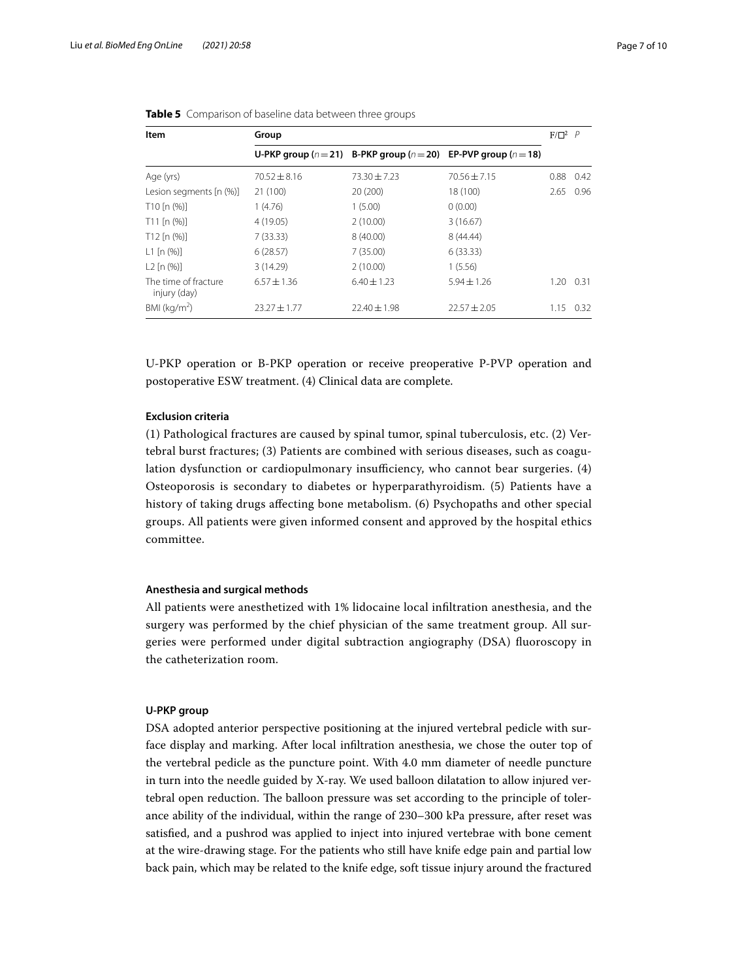| Item                                 | Group            |                  |                                                                             |           | $F/\Box^2$ $P$ |
|--------------------------------------|------------------|------------------|-----------------------------------------------------------------------------|-----------|----------------|
|                                      |                  |                  | U-PKP group ( $n = 21$ ) B-PKP group ( $n = 20$ ) EP-PVP group ( $n = 18$ ) |           |                |
| Age (yrs)                            | $70.52 + 8.16$   | $73.30 + 7.23$   | $70.56 + 7.15$                                                              | 0.88      | 0.42           |
| Lesion segments [n (%)]              | 21 (100)         | 20(200)          | 18 (100)                                                                    | 2.65 0.96 |                |
| $T10$ [n $(\%)$ ]                    | 1(4.76)          | 1(5.00)          | 0(0.00)                                                                     |           |                |
| $T11$ [n $(\%)$ ]                    | 4(19.05)         | 2(10.00)         | 3(16.67)                                                                    |           |                |
| $T12$ [n $(\%)$ ]                    | 7(33.33)         | 8(40.00)         | 8 (44.44)                                                                   |           |                |
| $L1$ [n $(%)$ ]                      | 6(28.57)         | 7(35.00)         | 6(33.33)                                                                    |           |                |
| $L2$ [n $(%)$ ]                      | 3(14.29)         | 2(10.00)         | 1(5.56)                                                                     |           |                |
| The time of fracture<br>injury (day) | $6.57 \pm 1.36$  | $6.40 \pm 1.23$  | $5.94 \pm 1.26$                                                             | 1.20      | 0.31           |
| BMI ( $kg/m2$ )                      | $23.27 \pm 1.77$ | $22.40 \pm 1.98$ | $22.57 \pm 2.05$                                                            | 1.15      | 0.32           |

<span id="page-6-0"></span>**Table 5** Comparison of baseline data between three groups

U-PKP operation or B-PKP operation or receive preoperative P-PVP operation and postoperative ESW treatment. (4) Clinical data are complete.

# **Exclusion criteria**

(1) Pathological fractures are caused by spinal tumor, spinal tuberculosis, etc. (2) Vertebral burst fractures; (3) Patients are combined with serious diseases, such as coagulation dysfunction or cardiopulmonary insufficiency, who cannot bear surgeries. (4) Osteoporosis is secondary to diabetes or hyperparathyroidism. (5) Patients have a history of taking drugs afecting bone metabolism. (6) Psychopaths and other special groups. All patients were given informed consent and approved by the hospital ethics committee.

# **Anesthesia and surgical methods**

All patients were anesthetized with 1% lidocaine local infltration anesthesia, and the surgery was performed by the chief physician of the same treatment group. All surgeries were performed under digital subtraction angiography (DSA) fuoroscopy in the catheterization room.

# **U-PKP group**

DSA adopted anterior perspective positioning at the injured vertebral pedicle with surface display and marking. After local infltration anesthesia, we chose the outer top of the vertebral pedicle as the puncture point. With 4.0 mm diameter of needle puncture in turn into the needle guided by X-ray. We used balloon dilatation to allow injured vertebral open reduction. The balloon pressure was set according to the principle of tolerance ability of the individual, within the range of 230–300 kPa pressure, after reset was satisfed, and a pushrod was applied to inject into injured vertebrae with bone cement at the wire-drawing stage. For the patients who still have knife edge pain and partial low back pain, which may be related to the knife edge, soft tissue injury around the fractured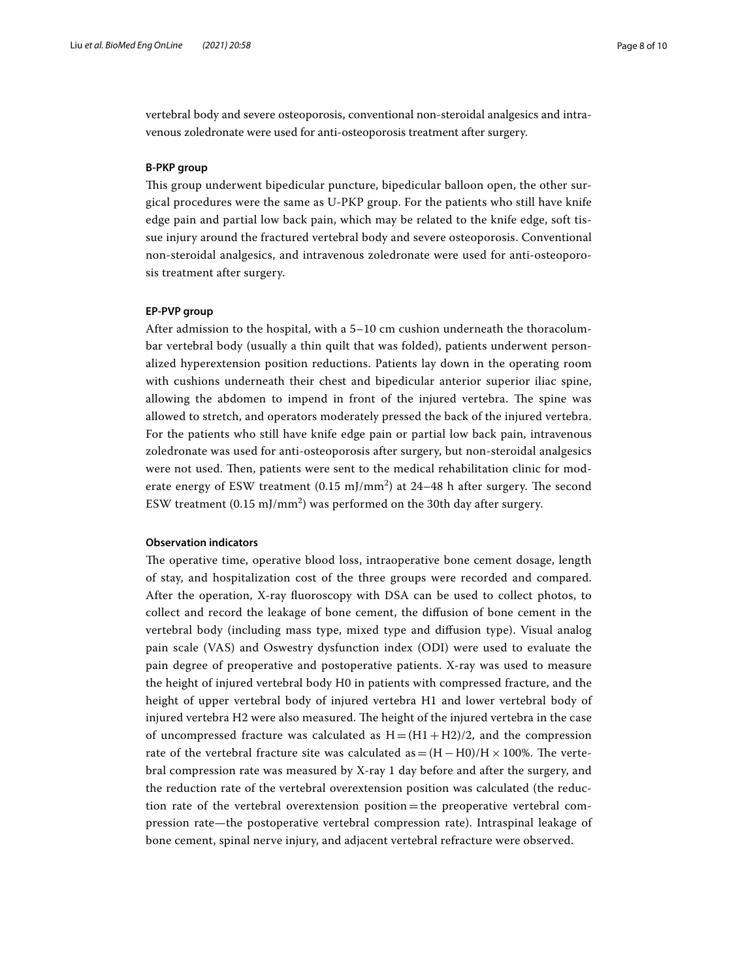vertebral body and severe osteoporosis, conventional non-steroidal analgesics and intravenous zoledronate were used for anti-osteoporosis treatment after surgery.

# **B-PKP group**

Tis group underwent bipedicular puncture, bipedicular balloon open, the other surgical procedures were the same as U-PKP group. For the patients who still have knife edge pain and partial low back pain, which may be related to the knife edge, soft tissue injury around the fractured vertebral body and severe osteoporosis. Conventional non-steroidal analgesics, and intravenous zoledronate were used for anti-osteoporosis treatment after surgery.

# **EP-PVP group**

After admission to the hospital, with a 5–10 cm cushion underneath the thoracolumbar vertebral body (usually a thin quilt that was folded), patients underwent personalized hyperextension position reductions. Patients lay down in the operating room with cushions underneath their chest and bipedicular anterior superior iliac spine, allowing the abdomen to impend in front of the injured vertebra. The spine was allowed to stretch, and operators moderately pressed the back of the injured vertebra. For the patients who still have knife edge pain or partial low back pain, intravenous zoledronate was used for anti-osteoporosis after surgery, but non-steroidal analgesics were not used. Then, patients were sent to the medical rehabilitation clinic for moderate energy of ESW treatment (0.15 mJ/mm<sup>2</sup>) at 24–48 h after surgery. The second ESW treatment (0.15 mJ/mm $^2$ ) was performed on the 30th day after surgery.

# **Observation indicators**

The operative time, operative blood loss, intraoperative bone cement dosage, length of stay, and hospitalization cost of the three groups were recorded and compared. After the operation, X-ray fuoroscopy with DSA can be used to collect photos, to collect and record the leakage of bone cement, the difusion of bone cement in the vertebral body (including mass type, mixed type and difusion type). Visual analog pain scale (VAS) and Oswestry dysfunction index (ODI) were used to evaluate the pain degree of preoperative and postoperative patients. X-ray was used to measure the height of injured vertebral body H0 in patients with compressed fracture, and the height of upper vertebral body of injured vertebra H1 and lower vertebral body of injured vertebra H2 were also measured. The height of the injured vertebra in the case of uncompressed fracture was calculated as  $H = (H1 + H2)/2$ , and the compression rate of the vertebral fracture site was calculated as  $=(H-H0)/H \times 100\%$ . The vertebral compression rate was measured by X-ray 1 day before and after the surgery, and the reduction rate of the vertebral overextension position was calculated (the reduction rate of the vertebral overextension position=the preoperative vertebral compression rate—the postoperative vertebral compression rate). Intraspinal leakage of bone cement, spinal nerve injury, and adjacent vertebral refracture were observed.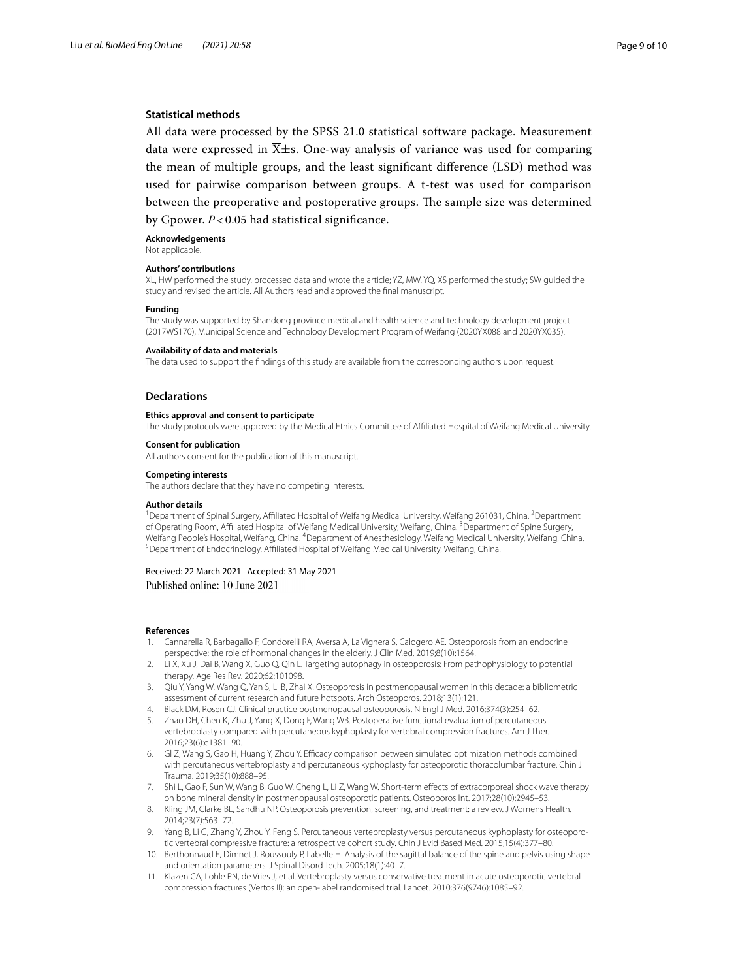# **Statistical methods**

All data were processed by the SPSS 21.0 statistical software package. Measurement data were expressed in  $\overline{X} \pm s$ . One-way analysis of variance was used for comparing the mean of multiple groups, and the least signifcant diference (LSD) method was used for pairwise comparison between groups. A t-test was used for comparison between the preoperative and postoperative groups. The sample size was determined by Gpower. *P* < 0.05 had statistical signifcance.

#### **Acknowledgements**

Not applicable.

### **Authors' contributions**

XL, HW performed the study, processed data and wrote the article; YZ, MW, YQ, XS performed the study; SW guided the study and revised the article. All Authors read and approved the fnal manuscript.

#### **Funding**

The study was supported by Shandong province medical and health science and technology development project (2017WS170), Municipal Science and Technology Development Program of Weifang (2020YX088 and 2020YX035).

#### **Availability of data and materials**

The data used to support the fndings of this study are available from the corresponding authors upon request.

### **Declarations**

#### **Ethics approval and consent to participate**

The study protocols were approved by the Medical Ethics Committee of Afliated Hospital of Weifang Medical University.

### **Consent for publication**

All authors consent for the publication of this manuscript.

#### **Competing interests**

The authors declare that they have no competing interests.

#### **Author details**

<sup>1</sup> Department of Spinal Surgery, Affiliated Hospital of Weifang Medical University, Weifang 261031, China. <sup>2</sup> Department of Operating Room, Affiliated Hospital of Weifang Medical University, Weifang, China. <sup>3</sup> Department of Spine Surgery, Weifang People's Hospital, Weifang, China. <sup>4</sup>Department of Anesthesiology, Weifang Medical University, Weifang, China.<br><sup>5</sup>Department of Endocripology, Affiliated Hospital of Weifang Medical University Weifang, China. <sup>5</sup>Department of Endocrinology, Affiliated Hospital of Weifang Medical University, Weifang, China.

### Received: 22 March 2021 Accepted: 31 May 2021 Published online: 10 June 2021

#### **References**

- <span id="page-8-0"></span>1. Cannarella R, Barbagallo F, Condorelli RA, Aversa A, La Vignera S, Calogero AE. Osteoporosis from an endocrine perspective: the role of hormonal changes in the elderly. J Clin Med. 2019;8(10):1564.
- <span id="page-8-1"></span>2. Li X, Xu J, Dai B, Wang X, Guo Q, Qin L. Targeting autophagy in osteoporosis: From pathophysiology to potential therapy. Age Res Rev. 2020;62:101098.
- <span id="page-8-2"></span>3. Qiu Y, Yang W, Wang Q, Yan S, Li B, Zhai X. Osteoporosis in postmenopausal women in this decade: a bibliometric assessment of current research and future hotspots. Arch Osteoporos. 2018;13(1):121.
- <span id="page-8-3"></span>4. Black DM, Rosen CJ. Clinical practice postmenopausal osteoporosis. N Engl J Med. 2016;374(3):254–62.
- <span id="page-8-4"></span>5. Zhao DH, Chen K, Zhu J, Yang X, Dong F, Wang WB. Postoperative functional evaluation of percutaneous vertebroplasty compared with percutaneous kyphoplasty for vertebral compression fractures. Am J Ther. 2016;23(6):e1381–90.
- <span id="page-8-5"></span>6. Gl Z, Wang S, Gao H, Huang Y, Zhou Y. Efcacy comparison between simulated optimization methods combined with percutaneous vertebroplasty and percutaneous kyphoplasty for osteoporotic thoracolumbar fracture. Chin J Trauma. 2019;35(10):888–95.
- <span id="page-8-6"></span>7. Shi L, Gao F, Sun W, Wang B, Guo W, Cheng L, Li Z, Wang W. Short-term efects of extracorporeal shock wave therapy on bone mineral density in postmenopausal osteoporotic patients. Osteoporos Int. 2017;28(10):2945–53.
- <span id="page-8-7"></span>8. Kling JM, Clarke BL, Sandhu NP. Osteoporosis prevention, screening, and treatment: a review. J Womens Health. 2014;23(7):563–72.
- <span id="page-8-8"></span>9. Yang B, Li G, Zhang Y, Zhou Y, Feng S. Percutaneous vertebroplasty versus percutaneous kyphoplasty for osteoporotic vertebral compressive fracture: a retrospective cohort study. Chin J Evid Based Med. 2015;15(4):377–80.
- <span id="page-8-9"></span>10. Berthonnaud E, Dimnet J, Roussouly P, Labelle H. Analysis of the sagittal balance of the spine and pelvis using shape and orientation parameters. J Spinal Disord Tech. 2005;18(1):40–7.
- <span id="page-8-10"></span>11. Klazen CA, Lohle PN, de Vries J, et al. Vertebroplasty versus conservative treatment in acute osteoporotic vertebral compression fractures (Vertos II): an open-label randomised trial. Lancet. 2010;376(9746):1085–92.